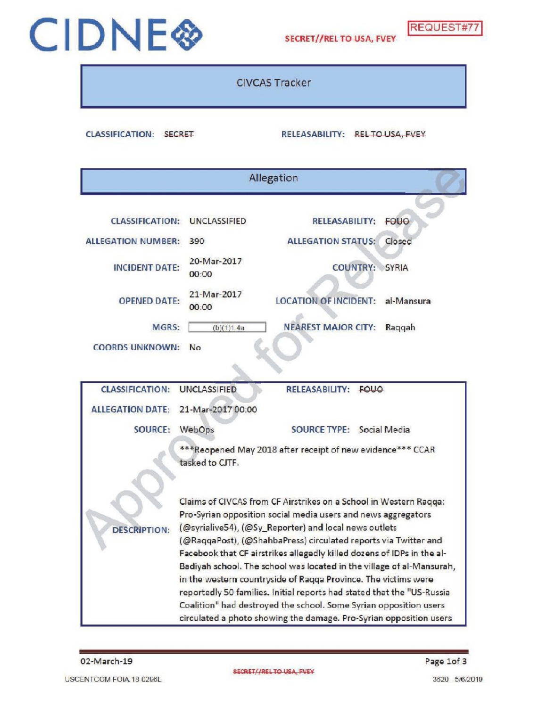

## CIDNE SECRET//REL TO USA, FVEY REQUEST#77

CIVCAS Tracker

CLASSIFICATION: SECRET RELEASABILITY: RELTO USA, FVEY

| Allegation                |                                                                                                                                          |                              |             |  |  |  |  |  |
|---------------------------|------------------------------------------------------------------------------------------------------------------------------------------|------------------------------|-------------|--|--|--|--|--|
| <b>CLASSIFICATION:</b>    | <b>UNCLASSIFIED</b>                                                                                                                      | <b>RELEASABILITY:</b>        | <b>FOUO</b> |  |  |  |  |  |
| <b>ALLEGATION NUMBER:</b> | 390                                                                                                                                      | <b>ALLEGATION STATUS:</b>    | Closed      |  |  |  |  |  |
| <b>INCIDENT DATE:</b>     | 20-Mar-2017<br>00.00                                                                                                                     | COUNTRY: SYRIA               |             |  |  |  |  |  |
| <b>OPENED DATE:</b>       | 21-Mar-2017<br>00:00                                                                                                                     | <b>LOCATION OF INCIDENT:</b> | al-Mansura  |  |  |  |  |  |
| MGRS:                     | (b)(1)1.4a                                                                                                                               | <b>NEAREST MAJOR CITY:</b>   | Raqqah      |  |  |  |  |  |
| <b>COORDS UNKNOWN:</b>    | No                                                                                                                                       |                              |             |  |  |  |  |  |
|                           |                                                                                                                                          |                              |             |  |  |  |  |  |
| <b>CLASSIFICATION:</b>    | <b>UNCLASSIFIED</b>                                                                                                                      | RELEASABILITY: FOUO          |             |  |  |  |  |  |
| <b>ALLEGATION DATE:</b>   | 21-Mar-2017 00:00                                                                                                                        |                              |             |  |  |  |  |  |
| <b>SOURCE:</b>            | WebOps                                                                                                                                   | SOURCE TYPE: Social Media    |             |  |  |  |  |  |
|                           | ***Reopened May 2018 after receipt of new evidence*** CCAR                                                                               |                              |             |  |  |  |  |  |
| tasked to CITF.           |                                                                                                                                          |                              |             |  |  |  |  |  |
|                           | Claims of CIVCAS from CF Airstrikes on a School in Western Ragga:                                                                        |                              |             |  |  |  |  |  |
|                           | Pro-Syrian opposition social media users and news aggregators                                                                            |                              |             |  |  |  |  |  |
| <b>DESCRIPTION:</b>       | (@syrialive54), (@Sy_Reporter) and local news outlets                                                                                    |                              |             |  |  |  |  |  |
|                           | (@RaqqaPost), (@ShahbaPress) circulated reports via Twitter and                                                                          |                              |             |  |  |  |  |  |
|                           | Facebook that CF airstrikes allegedly killed dozens of IDPs in the al-                                                                   |                              |             |  |  |  |  |  |
|                           | Badiyah school. The school was located in the village of al-Mansurah,                                                                    |                              |             |  |  |  |  |  |
|                           | in the western countryside of Raqqa Province. The victims were<br>reportedly 50 families. Initial reports had stated that the "US-Russia |                              |             |  |  |  |  |  |
|                           | Coalition" had destroyed the school. Some Syrian opposition users                                                                        |                              |             |  |  |  |  |  |
|                           | circulated a photo showing the damage. Pro-Syrian opposition users                                                                       |                              |             |  |  |  |  |  |

02-March-19 Page 1of 3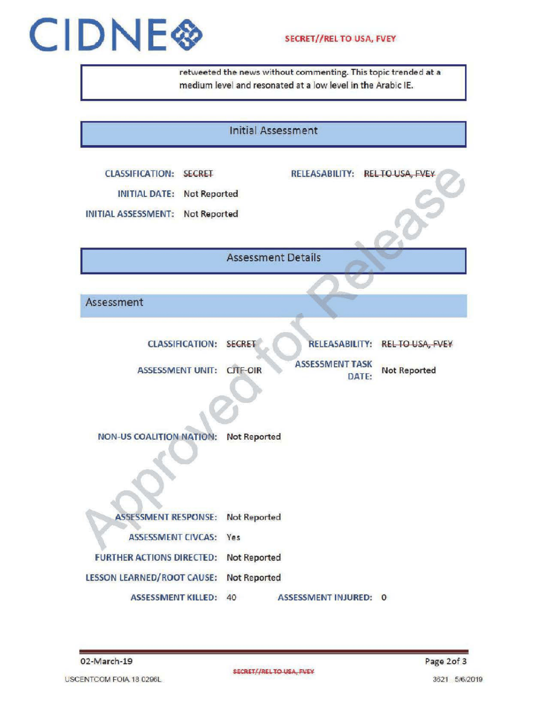## CIDNE<sup>S</sup> SECRET//REL TO USA, FVEY

retweeted the newswithout commenting. This topic trended at <sup>a</sup> medium level and resonated at a low level in the Arabic IE.